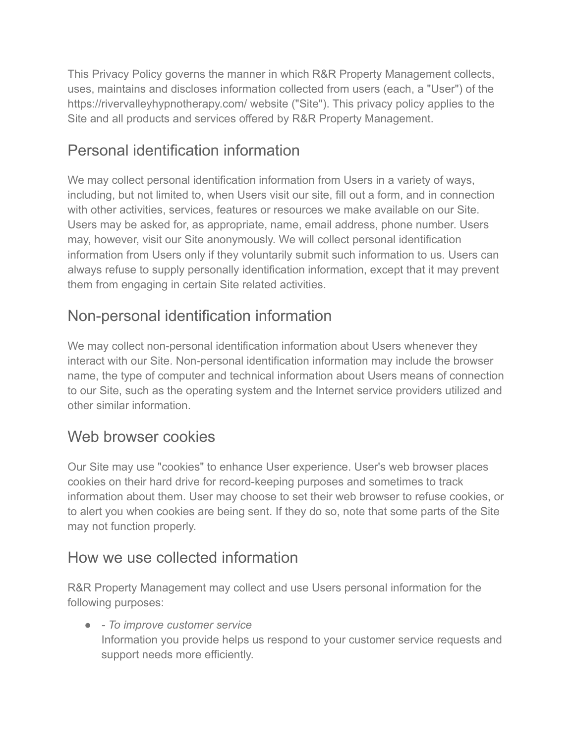This Privacy Policy governs the manner in which R&R Property Management collects, uses, maintains and discloses information collected from users (each, a "User") of the https://rivervalleyhypnotherapy.com/ website ("Site"). This privacy policy applies to the Site and all products and services offered by R&R Property Management.

# Personal identification information

We may collect personal identification information from Users in a variety of ways, including, but not limited to, when Users visit our site, fill out a form, and in connection with other activities, services, features or resources we make available on our Site. Users may be asked for, as appropriate, name, email address, phone number. Users may, however, visit our Site anonymously. We will collect personal identification information from Users only if they voluntarily submit such information to us. Users can always refuse to supply personally identification information, except that it may prevent them from engaging in certain Site related activities.

# Non-personal identification information

We may collect non-personal identification information about Users whenever they interact with our Site. Non-personal identification information may include the browser name, the type of computer and technical information about Users means of connection to our Site, such as the operating system and the Internet service providers utilized and other similar information.

# Web browser cookies

Our Site may use "cookies" to enhance User experience. User's web browser places cookies on their hard drive for record-keeping purposes and sometimes to track information about them. User may choose to set their web browser to refuse cookies, or to alert you when cookies are being sent. If they do so, note that some parts of the Site may not function properly.

# How we use collected information

R&R Property Management may collect and use Users personal information for the following purposes:

● *- To improve customer service* Information you provide helps us respond to your customer service requests and support needs more efficiently.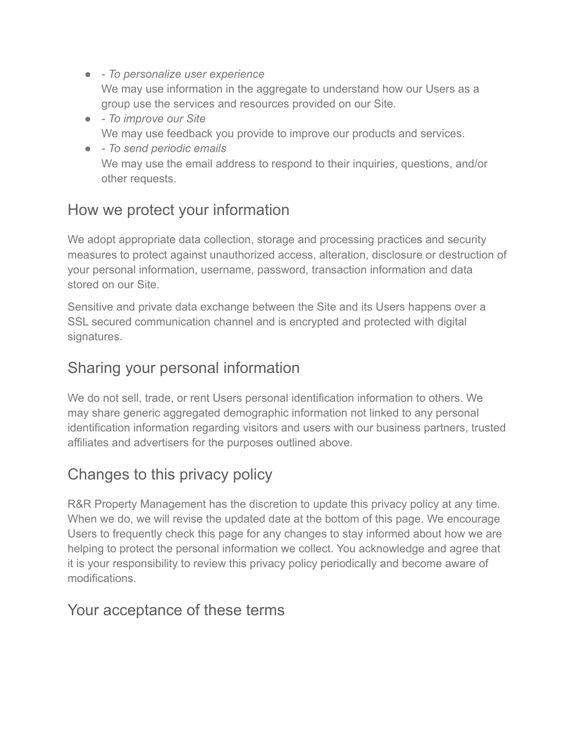- *To personalize user experience* We may use information in the aggregate to understand how our Users as a group use the services and resources provided on our Site.
- *To improve our Site* We may use feedback you provide to improve our products and services.
- *To send periodic emails* We may use the email address to respond to their inquiries, questions, and/or other requests.

## How we protect your information

We adopt appropriate data collection, storage and processing practices and security measures to protect against unauthorized access, alteration, disclosure or destruction of your personal information, username, password, transaction information and data stored on our Site.

Sensitive and private data exchange between the Site and its Users happens over a SSL secured communication channel and is encrypted and protected with digital signatures.

## Sharing your personal information

We do not sell, trade, or rent Users personal identification information to others. We may share generic aggregated demographic information not linked to any personal identification information regarding visitors and users with our business partners, trusted affiliates and advertisers for the purposes outlined above.

# Changes to this privacy policy

R&R Property Management has the discretion to update this privacy policy at any time. When we do, we will revise the updated date at the bottom of this page. We encourage Users to frequently check this page for any changes to stay informed about how we are helping to protect the personal information we collect. You acknowledge and agree that it is your responsibility to review this privacy policy periodically and become aware of modifications.

#### Your acceptance of these terms